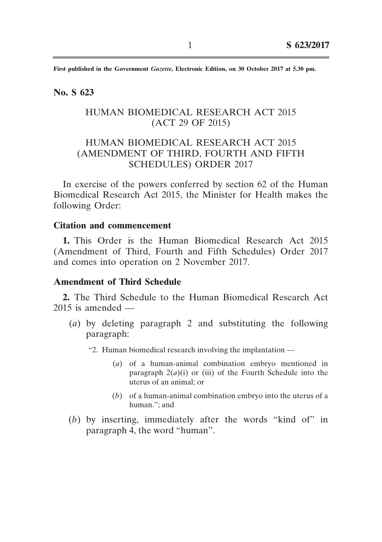**First published in the Government** *Gazette***, Electronic Edition, on 30 October 2017 at 5.30 pm.**

#### **No. S 623**

## HUMAN BIOMEDICAL RESEARCH ACT 2015 (ACT 29 OF 2015)

# HUMAN BIOMEDICAL RESEARCH ACT 2015 (AMENDMENT OF THIRD, FOURTH AND FIFTH SCHEDULES) ORDER 2017

In exercise of the powers conferred by section 62 of the Human Biomedical Research Act 2015, the Minister for Health makes the following Order:

#### **Citation and commencement**

**1.** This Order is the Human Biomedical Research Act 2015 (Amendment of Third, Fourth and Fifth Schedules) Order 2017 and comes into operation on 2 November 2017.

### **Amendment of Third Schedule**

**2.** The Third Schedule to the Human Biomedical Research Act  $2015$  is amended  $-$ 

- (*a*) by deleting paragraph 2 and substituting the following paragraph:
	- "2. Human biomedical research involving the implantation ––
		- (*a*) of a human-animal combination embryo mentioned in paragraph  $2(a)(i)$  or (iii) of the Fourth Schedule into the uterus of an animal; or
		- (*b*) of a human-animal combination embryo into the uterus of a human."; and
- (*b*) by inserting, immediately after the words "kind of" in paragraph 4, the word "human".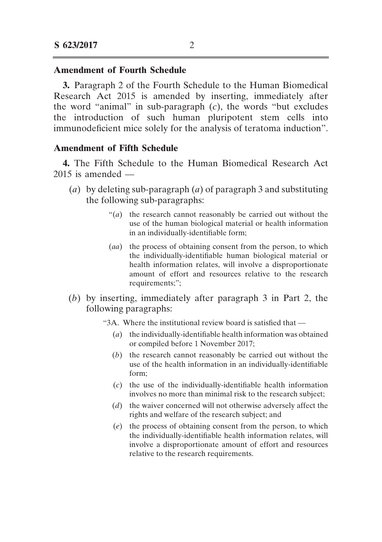#### **Amendment of Fourth Schedule**

**3.** Paragraph 2 of the Fourth Schedule to the Human Biomedical Research Act 2015 is amended by inserting, immediately after the word "animal" in sub-paragraph (*c*), the words "but excludes the introduction of such human pluripotent stem cells into immunodeficient mice solely for the analysis of teratoma induction".

#### **Amendment of Fifth Schedule**

**4.** The Fifth Schedule to the Human Biomedical Research Act  $2015$  is amended —

- (*a*) by deleting sub-paragraph (*a*) of paragraph 3 and substituting the following sub-paragraphs:
	- " $(a)$  the research cannot reasonably be carried out without the use of the human biological material or health information in an individually-identifiable form;
	- (*aa*) the process of obtaining consent from the person, to which the individually-identifiable human biological material or health information relates, will involve a disproportionate amount of effort and resources relative to the research requirements;";
- (*b*) by inserting, immediately after paragraph 3 in Part 2, the following paragraphs:
	- "3A. Where the institutional review board is satisfied that
		- (*a*) the individually-identifiable health information was obtained or compiled before 1 November 2017;
		- (*b*) the research cannot reasonably be carried out without the use of the health information in an individually-identifiable form;
		- (*c*) the use of the individually-identifiable health information involves no more than minimal risk to the research subject;
		- (*d*) the waiver concerned will not otherwise adversely affect the rights and welfare of the research subject; and
		- (*e*) the process of obtaining consent from the person, to which the individually-identifiable health information relates, will involve a disproportionate amount of effort and resources relative to the research requirements.